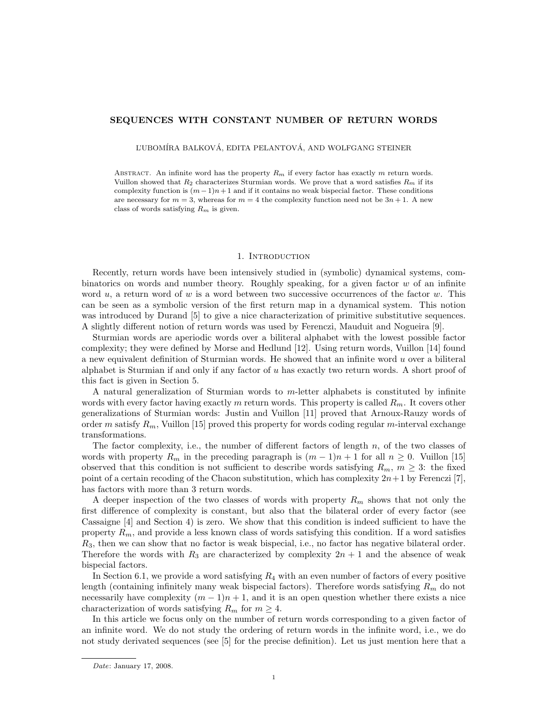# SEQUENCES WITH CONSTANT NUMBER OF RETURN WORDS

L'UBOMÍRA BALKOVÁ, EDITA PELANTOVÁ, AND WOLFGANG STEINER

ABSTRACT. An infinite word has the property  $R_m$  if every factor has exactly m return words. Vuillon showed that  $R_2$  characterizes Sturmian words. We prove that a word satisfies  $R_m$  if its complexity function is  $(m-1)n+1$  and if it contains no weak bispecial factor. These conditions are necessary for  $m = 3$ , whereas for  $m = 4$  the complexity function need not be  $3n + 1$ . A new class of words satisfying  $R_m$  is given.

### 1. INTRODUCTION

Recently, return words have been intensively studied in (symbolic) dynamical systems, combinatorics on words and number theory. Roughly speaking, for a given factor  $w$  of an infinite word  $u$ , a return word of  $w$  is a word between two successive occurrences of the factor  $w$ . This can be seen as a symbolic version of the first return map in a dynamical system. This notion was introduced by Durand [5] to give a nice characterization of primitive substitutive sequences. A slightly different notion of return words was used by Ferenczi, Mauduit and Nogueira [9].

Sturmian words are aperiodic words over a biliteral alphabet with the lowest possible factor complexity; they were defined by Morse and Hedlund [12]. Using return words, Vuillon [14] found a new equivalent definition of Sturmian words. He showed that an infinite word  $u$  over a biliteral alphabet is Sturmian if and only if any factor of  $u$  has exactly two return words. A short proof of this fact is given in Section 5.

A natural generalization of Sturmian words to m-letter alphabets is constituted by infinite words with every factor having exactly m return words. This property is called  $R_m$ . It covers other generalizations of Sturmian words: Justin and Vuillon [11] proved that Arnoux-Rauzy words of order m satisfy  $R_m$ , Vuillon [15] proved this property for words coding regular m-interval exchange transformations.

The factor complexity, i.e., the number of different factors of length  $n$ , of the two classes of words with property  $R_m$  in the preceding paragraph is  $(m-1)n+1$  for all  $n \geq 0$ . Vuillon [15] observed that this condition is not sufficient to describe words satisfying  $R_m$ ,  $m \geq 3$ : the fixed point of a certain recoding of the Chacon substitution, which has complexity  $2n+1$  by Ferenczi [7], has factors with more than 3 return words.

A deeper inspection of the two classes of words with property  $R_m$  shows that not only the first difference of complexity is constant, but also that the bilateral order of every factor (see Cassaigne [4] and Section 4) is zero. We show that this condition is indeed sufficient to have the property  $R_m$ , and provide a less known class of words satisfying this condition. If a word satisfies  $R_3$ , then we can show that no factor is weak bispecial, i.e., no factor has negative bilateral order. Therefore the words with  $R_3$  are characterized by complexity  $2n + 1$  and the absence of weak bispecial factors.

In Section 6.1, we provide a word satisfying  $R_4$  with an even number of factors of every positive length (containing infinitely many weak bispecial factors). Therefore words satisfying  $R_m$  do not necessarily have complexity  $(m - 1)n + 1$ , and it is an open question whether there exists a nice characterization of words satisfying  $R_m$  for  $m \geq 4$ .

In this article we focus only on the number of return words corresponding to a given factor of an infinite word. We do not study the ordering of return words in the infinite word, i.e., we do not study derivated sequences (see [5] for the precise definition). Let us just mention here that a

Date: January 17, 2008.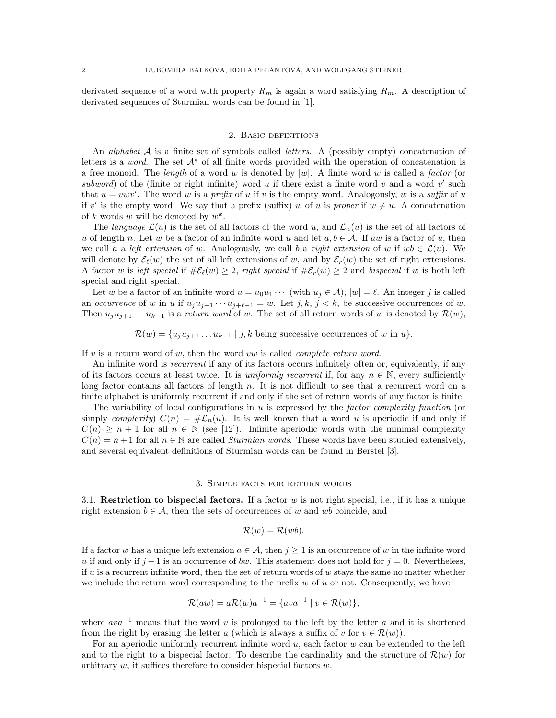derivated sequence of a word with property  $R_m$  is again a word satisfying  $R_m$ . A description of derivated sequences of Sturmian words can be found in [1].

## 2. Basic definitions

An *alphabet*  $\mathcal A$  is a finite set of symbols called *letters*. A (possibly empty) concatenation of letters is a *word*. The set  $A^*$  of all finite words provided with the operation of concatenation is a free monoid. The length of a word w is denoted by  $|w|$ . A finite word w is called a factor (or subword) of the (finite or right infinite) word  $u$  if there exist a finite word  $v$  and a word  $v'$  such that  $u = v w v'$ . The word w is a prefix of u if v is the empty word. Analogously, w is a suffix of u if v' is the empty word. We say that a prefix (suffix) w of u is proper if  $w \neq u$ . A concatenation of k words w will be denoted by  $w^k$ .

The language  $\mathcal{L}(u)$  is the set of all factors of the word u, and  $\mathcal{L}_n(u)$  is the set of all factors of u of length n. Let w be a factor of an infinite word u and let  $a, b \in A$ . If aw is a factor of u, then we call a a left extension of w. Analogously, we call b a right extension of w if  $wb \in \mathcal{L}(u)$ . We will denote by  $\mathcal{E}_{\ell}(w)$  the set of all left extensions of w, and by  $\mathcal{E}_{r}(w)$  the set of right extensions. A factor w is left special if  $\#\mathcal{E}_{\ell}(w) \geq 2$ , right special if  $\#\mathcal{E}_{r}(w) \geq 2$  and bispecial if w is both left special and right special.

Let w be a factor of an infinite word  $u = u_0u_1 \cdots$  (with  $u_j \in A$ ),  $|w| = \ell$ . An integer j is called an occurrence of w in u if  $u_j u_{j+1} \cdots u_{j+\ell-1} = w$ . Let j, k, j < k, be successive occurrences of w. Then  $u_ju_{j+1}\cdots u_{k-1}$  is a return word of w. The set of all return words of w is denoted by  $\mathcal{R}(w)$ ,

 $\mathcal{R}(w) = \{u_ju_{j+1} \ldots u_{k-1} | j,k \text{ being successive occurrences of } w \text{ in } u\}.$ 

If v is a return word of w, then the word vw is called *complete return word*.

An infinite word is *recurrent* if any of its factors occurs infinitely often or, equivalently, if any of its factors occurs at least twice. It is uniformly recurrent if, for any  $n \in \mathbb{N}$ , every sufficiently long factor contains all factors of length n. It is not difficult to see that a recurrent word on a finite alphabet is uniformly recurrent if and only if the set of return words of any factor is finite.

The variability of local configurations in  $u$  is expressed by the *factor complexity function* (or simply complexity)  $C(n) = \# \mathcal{L}_n(u)$ . It is well known that a word u is aperiodic if and only if  $C(n) \geq n+1$  for all  $n \in \mathbb{N}$  (see [12]). Infinite aperiodic words with the minimal complexity  $C(n) = n + 1$  for all  $n \in \mathbb{N}$  are called *Sturmian words*. These words have been studied extensively, and several equivalent definitions of Sturmian words can be found in Berstel [3].

### 3. Simple facts for return words

3.1. Restriction to bispecial factors. If a factor  $w$  is not right special, i.e., if it has a unique right extension  $b \in \mathcal{A}$ , then the sets of occurrences of w and wb coincide, and

$$
\mathcal{R}(w) = \mathcal{R}(wb).
$$

If a factor w has a unique left extension  $a \in \mathcal{A}$ , then  $j \geq 1$  is an occurrence of w in the infinite word u if and only if  $j-1$  is an occurrence of bw. This statement does not hold for  $j=0$ . Nevertheless, if u is a recurrent infinite word, then the set of return words of  $w$  stays the same no matter whether we include the return word corresponding to the prefix  $w$  of  $u$  or not. Consequently, we have

$$
\mathcal{R}(aw) = a\mathcal{R}(w)a^{-1} = \{ava^{-1} \mid v \in \mathcal{R}(w)\},
$$

where  $ava^{-1}$  means that the word v is prolonged to the left by the letter a and it is shortened from the right by erasing the letter a (which is always a suffix of v for  $v \in \mathcal{R}(w)$ ).

For an aperiodic uniformly recurrent infinite word  $u$ , each factor  $w$  can be extended to the left and to the right to a bispecial factor. To describe the cardinality and the structure of  $\mathcal{R}(w)$  for arbitrary  $w$ , it suffices therefore to consider bispecial factors  $w$ .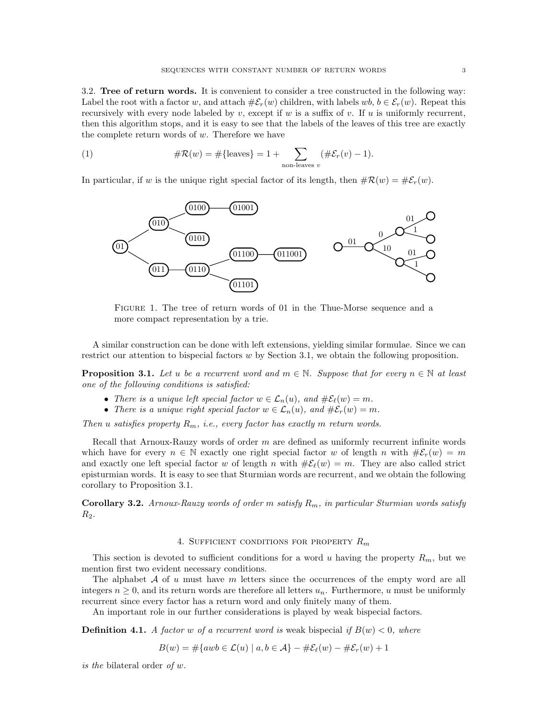3.2. Tree of return words. It is convenient to consider a tree constructed in the following way: Label the root with a factor w, and attach  $\#\mathcal{E}_r(w)$  children, with labels  $wb, b \in \mathcal{E}_r(w)$ . Repeat this recursively with every node labeled by v, except if w is a suffix of v. If u is uniformly recurrent, then this algorithm stops, and it is easy to see that the labels of the leaves of this tree are exactly the complete return words of  $w$ . Therefore we have

(1) 
$$
\#\mathcal{R}(w) = \#\{\text{leaves}\}=1+\sum_{\text{non-leaves }v}(\#\mathcal{E}_r(v)-1).
$$

In particular, if w is the unique right special factor of its length, then  $\#\mathcal{R}(w) = \#\mathcal{E}_r(w)$ .



Figure 1. The tree of return words of 01 in the Thue-Morse sequence and a more compact representation by a trie.

A similar construction can be done with left extensions, yielding similar formulae. Since we can restrict our attention to bispecial factors  $w$  by Section 3.1, we obtain the following proposition.

**Proposition 3.1.** Let u be a recurrent word and  $m \in \mathbb{N}$ . Suppose that for every  $n \in \mathbb{N}$  at least one of the following conditions is satisfied:

- There is a unique left special factor  $w \in \mathcal{L}_n(u)$ , and  $\#\mathcal{E}_{\ell}(w) = m$ .
- There is a unique right special factor  $w \in \mathcal{L}_n(u)$ , and  $\#\mathcal{E}_r(w) = m$ .

Then u satisfies property  $R_m$ , i.e., every factor has exactly m return words.

Recall that Arnoux-Rauzy words of order m are defined as uniformly recurrent infinite words which have for every  $n \in \mathbb{N}$  exactly one right special factor w of length n with  $\#\mathcal{E}_r(w) = m$ and exactly one left special factor w of length n with  $\#\mathcal{E}_{\ell}(w) = m$ . They are also called strict episturmian words. It is easy to see that Sturmian words are recurrent, and we obtain the following corollary to Proposition 3.1.

**Corollary 3.2.** Arnoux-Rauzy words of order m satisfy  $R_m$ , in particular Sturmian words satisfy  $R_2$ .

# 4. SUFFICIENT CONDITIONS FOR PROPERTY  $R_m$

This section is devoted to sufficient conditions for a word u having the property  $R_m$ , but we mention first two evident necessary conditions.

The alphabet  $A$  of u must have m letters since the occurrences of the empty word are all integers  $n \geq 0$ , and its return words are therefore all letters  $u_n$ . Furthermore, u must be uniformly recurrent since every factor has a return word and only finitely many of them.

An important role in our further considerations is played by weak bispecial factors.

**Definition 4.1.** A factor w of a recurrent word is weak bispecial if  $B(w) < 0$ , where

$$
B(w) = \#\{awb \in \mathcal{L}(u) \mid a, b \in \mathcal{A}\} - \#\mathcal{E}_{\ell}(w) - \#\mathcal{E}_{r}(w) + 1
$$

is the bilateral order of w.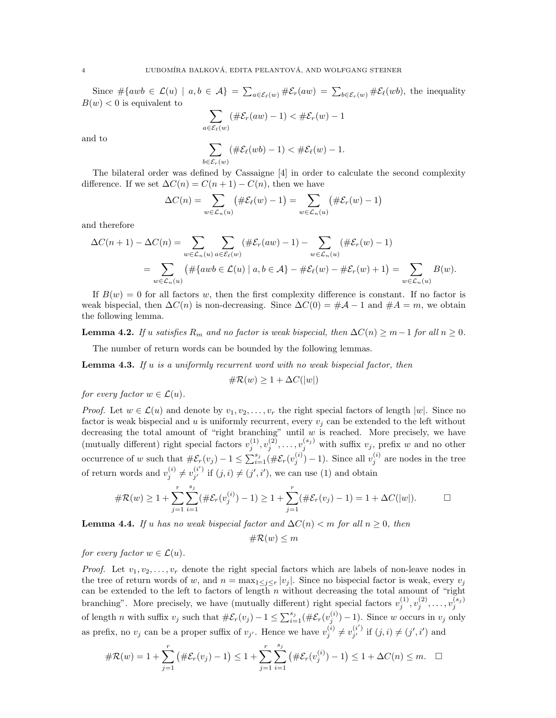Since  $\#\{awb \in \mathcal{L}(u) \mid a, b \in \mathcal{A}\} = \sum_{a \in \mathcal{E}_{\ell}(w)} \#\mathcal{E}_{r}(aw) = \sum_{b \in \mathcal{E}_{r}(w)} \#\mathcal{E}_{\ell}(wb)$ , the inequality  $B(w) < 0$  is equivalent to

$$
\sum_{a \in \mathcal{E}_{\ell}(w)} (\#\mathcal{E}_r(aw) - 1) < \#\mathcal{E}_r(w) - 1
$$

and to

$$
\sum_{b \in \mathcal{E}_r(w)} (\#\mathcal{E}_{\ell}(wb) - 1) < \#\mathcal{E}_{\ell}(w) - 1.
$$

The bilateral order was defined by Cassaigne [4] in order to calculate the second complexity difference. If we set  $\Delta C(n) = C(n+1) - C(n)$ , then we have

$$
\Delta C(n) = \sum_{w \in \mathcal{L}_n(u)} \left( \# \mathcal{E}_\ell(w) - 1 \right) = \sum_{w \in \mathcal{L}_n(u)} \left( \# \mathcal{E}_r(w) - 1 \right)
$$

and therefore

$$
\Delta C(n+1) - \Delta C(n) = \sum_{w \in \mathcal{L}_n(u)} \sum_{a \in \mathcal{E}_{\ell}(w)} (\#\mathcal{E}_r(aw) - 1) - \sum_{w \in \mathcal{L}_n(u)} (\#\mathcal{E}_r(w) - 1)
$$
  
= 
$$
\sum_{w \in \mathcal{L}_n(u)} (\#\{awb \in \mathcal{L}(u) \mid a, b \in \mathcal{A}\} - \#\mathcal{E}_{\ell}(w) - \#\mathcal{E}_r(w) + 1) = \sum_{w \in \mathcal{L}_n(u)} B(w).
$$

If  $B(w) = 0$  for all factors w, then the first complexity difference is constant. If no factor is weak bispecial, then  $\Delta C(n)$  is non-decreasing. Since  $\Delta C(0) = #\mathcal{A} - 1$  and  $#A = m$ , we obtain the following lemma.

**Lemma 4.2.** If u satisfies  $R_m$  and no factor is weak bispecial, then  $\Delta C(n) \geq m-1$  for all  $n \geq 0$ .

The number of return words can be bounded by the following lemmas.

**Lemma 4.3.** If u is a uniformly recurrent word with no weak bispecial factor, then

$$
\#\mathcal{R}(w) \ge 1 + \Delta C(|w|)
$$

for every factor  $w \in \mathcal{L}(u)$ .

*Proof.* Let  $w \in \mathcal{L}(u)$  and denote by  $v_1, v_2, \ldots, v_r$  the right special factors of length  $|w|$ . Since no factor is weak bispecial and u is uniformly recurrent, every  $v_j$  can be extended to the left without decreasing the total amount of "right branching" until  $w$  is reached. More precisely, we have (mutually different) right special factors  $v_j^{(1)}, v_j^{(2)}, \ldots, v_j^{(s_j)}$  with suffix  $v_j$ , prefix w and no other occurrence of w such that  $\#\mathcal{E}_r(v_j) - 1 \leq \sum_{i=1}^{s_j} (\#\mathcal{E}_r(v_j^{(i)}) - 1)$ . Since all  $v_j^{(i)}$  are nodes in the tree of return words and  $v_j^{(i)} \neq v_{j'}^{(i')}$  $j'$  if  $(j, i) \neq (j', i')$ , we can use (1) and obtain

$$
\#\mathcal{R}(w) \ge 1 + \sum_{j=1}^r \sum_{i=1}^{s_j} (\#\mathcal{E}_r(v_j^{(i)}) - 1) \ge 1 + \sum_{j=1}^r (\#\mathcal{E}_r(v_j) - 1) = 1 + \Delta C(|w|).
$$

**Lemma 4.4.** If u has no weak bispecial factor and  $\Delta C(n) < m$  for all  $n \geq 0$ , then

 $\#\mathcal{R}(w) \leq m$ 

for every factor  $w \in \mathcal{L}(u)$ .

*Proof.* Let  $v_1, v_2, \ldots, v_r$  denote the right special factors which are labels of non-leave nodes in the tree of return words of w, and  $n = \max_{1 \leq j \leq r} |v_j|$ . Since no bispecial factor is weak, every  $v_j$ can be extended to the left to factors of length  $n$  without decreasing the total amount of "right" branching". More precisely, we have (mutually different) right special factors  $v_j^{(1)}, v_j^{(2)}, \ldots, v_j^{(s_j)}$ of length *n* with suffix  $v_j$  such that  $\#\mathcal{E}_r(v_j) - 1 \leq \sum_{i=1}^{s_j} (\#\mathcal{E}_r(v_j^{(i)}) - 1)$ . Since w occurs in  $v_j$  only as prefix, no  $v_j$  can be a proper suffix of  $v_{j'}$ . Hence we have  $v_j^{(i)} \neq v_{j'}^{(i')}$  $j'$  if  $(j, i) \neq (j', i')$  and

$$
\#\mathcal{R}(w) = 1 + \sum_{j=1}^r \left( \#\mathcal{E}_r(v_j) - 1 \right) \le 1 + \sum_{j=1}^r \sum_{i=1}^{s_j} \left( \#\mathcal{E}_r(v_j^{(i)}) - 1 \right) \le 1 + \Delta C(n) \le m. \quad \Box
$$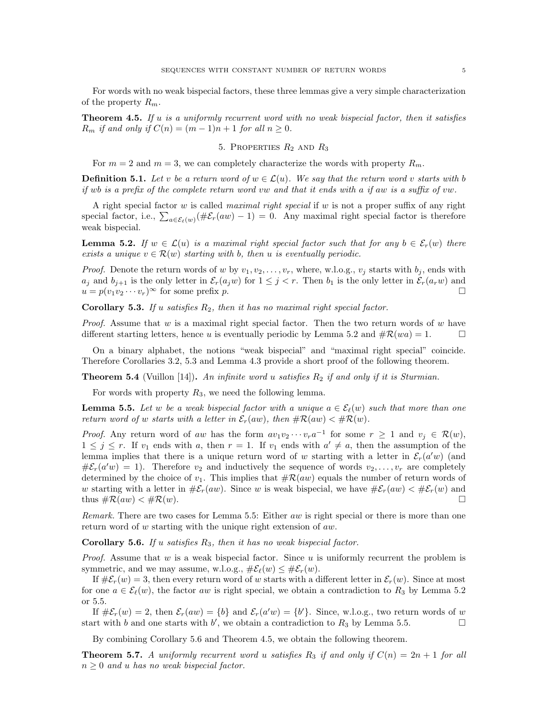For words with no weak bispecial factors, these three lemmas give a very simple characterization of the property  $R_m$ .

**Theorem 4.5.** If u is a uniformly recurrent word with no weak bispecial factor, then it satisfies  $R_m$  if and only if  $C(n) = (m-1)n + 1$  for all  $n \geq 0$ .

# 5. PROPERTIES  $R_2$  and  $R_3$

For  $m = 2$  and  $m = 3$ , we can completely characterize the words with property  $R_m$ .

**Definition 5.1.** Let v be a return word of  $w \in \mathcal{L}(u)$ . We say that the return word v starts with b if wb is a prefix of the complete return word vw and that it ends with a if aw is a suffix of vw.

A right special factor w is called *maximal right special* if w is not a proper suffix of any right special factor, i.e.,  $\sum_{a \in \mathcal{E}_{\ell}(w)} (\#\mathcal{E}_{r}(aw) - 1) = 0$ . Any maximal right special factor is therefore weak bispecial.

**Lemma 5.2.** If  $w \in \mathcal{L}(u)$  is a maximal right special factor such that for any  $b \in \mathcal{E}_r(w)$  there exists a unique  $v \in \mathcal{R}(w)$  starting with b, then u is eventually periodic.

*Proof.* Denote the return words of w by  $v_1, v_2, \ldots, v_r$ , where, w.l.o.g.,  $v_j$  starts with  $b_j$ , ends with  $a_j$  and  $b_{j+1}$  is the only letter in  $\mathcal{E}_r(a_jw)$  for  $1 \leq j < r$ . Then  $b_1$  is the only letter in  $\mathcal{E}_r(a_rw)$  and  $u = p(v_1v_2\cdots v_r)^\infty$  for some prefix p.

Corollary 5.3. If u satisfies  $R_2$ , then it has no maximal right special factor.

*Proof.* Assume that  $w$  is a maximal right special factor. Then the two return words of  $w$  have different starting letters, hence u is eventually periodic by Lemma 5.2 and  $\#\mathcal{R}(wa) = 1$ .

On a binary alphabet, the notions "weak bispecial" and "maximal right special" coincide. Therefore Corollaries 3.2, 5.3 and Lemma 4.3 provide a short proof of the following theorem.

**Theorem 5.4** (Vuillon [14]). An infinite word u satisfies  $R_2$  if and only if it is Sturmian.

For words with property  $R_3$ , we need the following lemma.

**Lemma 5.5.** Let w be a weak bispecial factor with a unique  $a \in \mathcal{E}_{\ell}(w)$  such that more than one return word of w starts with a letter in  $\mathcal{E}_r(aw)$ , then  $\#\mathcal{R}(aw) < \#\mathcal{R}(w)$ .

*Proof.* Any return word of aw has the form  $av_1v_2\cdots v_ra^{-1}$  for some  $r \geq 1$  and  $v_j \in \mathcal{R}(w)$ ,  $1 \leq j \leq r$ . If  $v_1$  ends with a, then  $r = 1$ . If  $v_1$  ends with  $a' \neq a$ , then the assumption of the lemma implies that there is a unique return word of w starting with a letter in  $\mathcal{E}_r(a'w)$  (and  $\#\mathcal{E}_r(a'w) = 1$ . Therefore  $v_2$  and inductively the sequence of words  $v_2, \ldots, v_r$  are completely determined by the choice of  $v_1$ . This implies that  $\#\mathcal{R}(aw)$  equals the number of return words of w starting with a letter in  $\#\mathcal{E}_r(aw)$ . Since w is weak bispecial, we have  $\#\mathcal{E}_r(aw) < \#\mathcal{E}_r(w)$  and thus  $\#\mathcal{R}(aw) < \#\mathcal{R}(w)$ .

Remark. There are two cases for Lemma 5.5: Either aw is right special or there is more than one return word of w starting with the unique right extension of aw.

**Corollary 5.6.** If u satisfies  $R_3$ , then it has no weak bispecial factor.

*Proof.* Assume that  $w$  is a weak bispecial factor. Since  $u$  is uniformly recurrent the problem is symmetric, and we may assume, w.l.o.g.,  $\#\mathcal{E}_{\ell}(w) \leq \#\mathcal{E}_{r}(w)$ .

If  $\# \mathcal{E}_r(w) = 3$ , then every return word of w starts with a different letter in  $\mathcal{E}_r(w)$ . Since at most for one  $a \in \mathcal{E}_{\ell}(w)$ , the factor aw is right special, we obtain a contradiction to  $R_3$  by Lemma 5.2 or 5.5.

If  $\#\mathcal{E}_r(w) = 2$ , then  $\mathcal{E}_r(aw) = \{b\}$  and  $\mathcal{E}_r(a'w) = \{b'\}$ . Since, w.l.o.g., two return words of w start with b and one starts with b', we obtain a contradiction to  $R_3$  by Lemma 5.5.

By combining Corollary 5.6 and Theorem 4.5, we obtain the following theorem.

**Theorem 5.7.** A uniformly recurrent word u satisfies  $R_3$  if and only if  $C(n) = 2n + 1$  for all  $n \geq 0$  and u has no weak bispecial factor.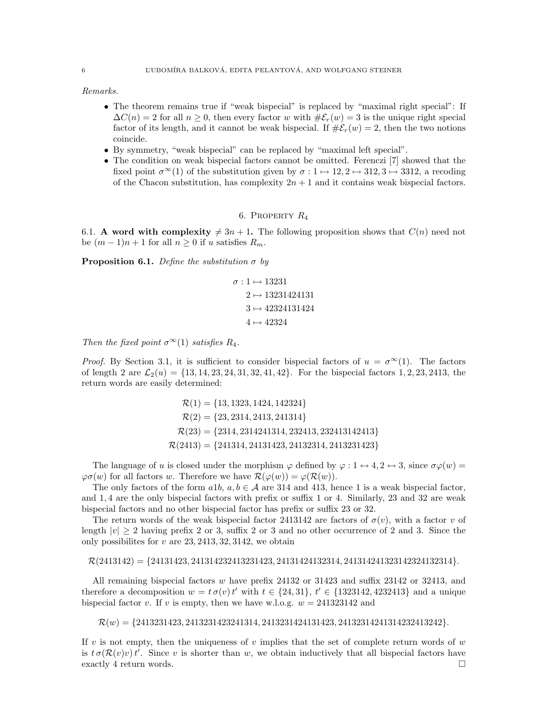Remarks.

- The theorem remains true if "weak bispecial" is replaced by "maximal right special": If  $\Delta C(n) = 2$  for all  $n > 0$ , then every factor w with  $\# \mathcal{E}_r(w) = 3$  is the unique right special factor of its length, and it cannot be weak bispecial. If  $\#E_r(w) = 2$ , then the two notions coincide.
- By symmetry, "weak bispecial" can be replaced by "maximal left special".
- The condition on weak bispecial factors cannot be omitted. Ferenczi [7] showed that the fixed point  $\sigma^{\infty}(1)$  of the substitution given by  $\sigma: 1 \mapsto 12, 2 \mapsto 312, 3 \mapsto 3312$ , a recoding of the Chacon substitution, has complexity  $2n + 1$  and it contains weak bispecial factors.

# 6. PROPERTY  $R_4$

6.1. A word with complexity  $\neq 3n + 1$ . The following proposition shows that  $C(n)$  need not be  $(m-1)n+1$  for all  $n\geq 0$  if u satisfies  $R_m$ .

**Proposition 6.1.** Define the substitution  $\sigma$  by

$$
\sigma: 1 \mapsto 13231
$$

$$
2 \mapsto 13231424131
$$

$$
3 \mapsto 42324131424
$$

$$
4 \mapsto 42324
$$

Then the fixed point  $\sigma^{\infty}(1)$  satisfies  $R_4$ .

*Proof.* By Section 3.1, it is sufficient to consider bispecial factors of  $u = \sigma^{\infty}(1)$ . The factors of length 2 are  $\mathcal{L}_2(u) = \{13, 14, 23, 24, 31, 32, 41, 42\}$ . For the bispecial factors 1, 2, 23, 2413, the return words are easily determined:

$$
\mathcal{R}(1) = \{13, 1323, 1424, 142324\}
$$
  
\n
$$
\mathcal{R}(2) = \{23, 2314, 2413, 241314\}
$$
  
\n
$$
\mathcal{R}(23) = \{2314, 2314241314, 232413, 232413142413\}
$$
  
\n
$$
\mathcal{R}(2413) = \{241314, 24131423, 24132314, 2413231423\}
$$

The language of u is closed under the morphism  $\varphi$  defined by  $\varphi: 1 \leftrightarrow 4, 2 \leftrightarrow 3$ , since  $\sigma \varphi(w)$  $\varphi \sigma(w)$  for all factors w. Therefore we have  $\mathcal{R}(\varphi(w)) = \varphi(\mathcal{R}(w))$ .

The only factors of the form  $a1b, a, b \in A$  are 314 and 413, hence 1 is a weak bispecial factor, and 1, 4 are the only bispecial factors with prefix or suffix 1 or 4. Similarly, 23 and 32 are weak bispecial factors and no other bispecial factor has prefix or suffix 23 or 32.

The return words of the weak bispecial factor 2413142 are factors of  $\sigma(v)$ , with a factor v of length  $|v| > 2$  having prefix 2 or 3, suffix 2 or 3 and no other occurrence of 2 and 3. Since the only possibilites for  $v$  are  $23, 2413, 32, 3142$ , we obtain

### $\mathcal{R}(2413142) = \{24131423, 241314232413231423, 24131424132314, 241314241323142324132314\}.$

All remaining bispecial factors w have prefix 24132 or 31423 and suffix 23142 or 32413, and therefore a decomposition  $w = t \sigma(v) t'$  with  $t \in \{24, 31\}$ ,  $t' \in \{1323142, 4232413\}$  and a unique bispecial factor v. If v is empty, then we have w.l.o.g.  $w = 241323142$  and

 $\mathcal{R}(w) = \{2413231423, 2413231423241314, 2413231424131423, 24132314241314232413242\}.$ 

If v is not empty, then the uniqueness of v implies that the set of complete return words of  $w$ is  $t \sigma(\mathcal{R}(v)v) t'$ . Since v is shorter than w, we obtain inductively that all bispecial factors have exactly 4 return words.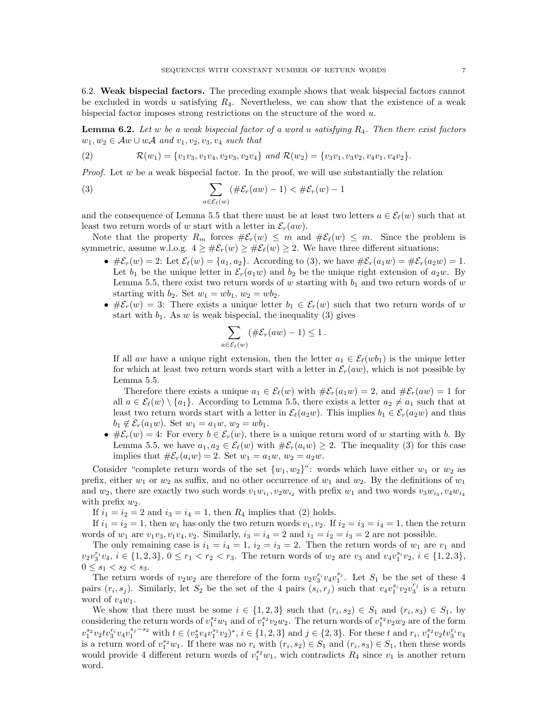6.2. Weak bispecial factors. The preceding example shows that weak bispecial factors cannot be excluded in words u satisfying  $R_4$ . Nevertheless, we can show that the existence of a weak bispecial factor imposes strong restrictions on the structure of the word  $u$ .

**Lemma 6.2.** Let w be a weak bispecial factor of a word u satisfying  $R_4$ . Then there exist factors  $w_1, w_2 \in \mathcal{A}w \cup w\mathcal{A}$  and  $v_1, v_2, v_3, v_4$  such that

(2) 
$$
\mathcal{R}(w_1) = \{v_1v_3, v_1v_4, v_2v_3, v_2v_4\} \text{ and } \mathcal{R}(w_2) = \{v_3v_1, v_3v_2, v_4v_1, v_4v_2\}.
$$

*Proof.* Let w be a weak bispecial factor. In the proof, we will use substantially the relation

(3) 
$$
\sum_{a \in \mathcal{E}_{\ell}(w)} (\#\mathcal{E}_r(aw) - 1) < \#\mathcal{E}_r(w) - 1
$$

and the consequence of Lemma 5.5 that there must be at least two letters  $a \in \mathcal{E}_{\ell}(w)$  such that at least two return words of w start with a letter in  $\mathcal{E}_r(aw)$ .

Note that the property  $R_m$  forces  $\#\mathcal{E}_r(w) \leq m$  and  $\#\mathcal{E}_\ell(w) \leq m$ . Since the problem is symmetric, assume w.l.o.g.  $4 \geq \#\mathcal{E}_r(w) \geq \#\mathcal{E}_\ell(w) \geq 2$ . We have three different situations:

- $\#\mathcal{E}_r(w) = 2$ : Let  $\mathcal{E}_\ell(w) = \{a_1, a_2\}$ . According to (3), we have  $\#\mathcal{E}_r(a_1w) = \#\mathcal{E}_r(a_2w) = 1$ . Let  $b_1$  be the unique letter in  $\mathcal{E}_r(a_1w)$  and  $b_2$  be the unique right extension of  $a_2w$ . By Lemma 5.5, there exist two return words of  $w$  starting with  $b_1$  and two return words of  $w$ starting with  $b_2$ . Set  $w_1 = wb_1$ ,  $w_2 = wb_2$ .
- $\#\mathcal{E}_r(w) = 3$ : There exists a unique letter  $b_1 \in \mathcal{E}_r(w)$  such that two return words of w start with  $b_1$ . As w is weak bispecial, the inequality (3) gives

$$
\sum_{a \in \mathcal{E}_{\ell}(w)} (\#\mathcal{E}_r(aw) - 1) \le 1.
$$

If all aw have a unique right extension, then the letter  $a_1 \in \mathcal{E}_{\ell}(wb_1)$  is the unique letter for which at least two return words start with a letter in  $\mathcal{E}_r(aw)$ , which is not possible by Lemma 5.5.

Therefore there exists a unique  $a_1 \in \mathcal{E}_{\ell}(w)$  with  $\#\mathcal{E}_{r}(a_1w) = 2$ , and  $\#\mathcal{E}_{r}(aw) = 1$  for all  $a \in \mathcal{E}_{\ell}(w) \setminus \{a_1\}$ . According to Lemma 5.5, there exists a letter  $a_2 \neq a_1$  such that at least two return words start with a letter in  $\mathcal{E}_{\ell}(a_2w)$ . This implies  $b_1 \in \mathcal{E}_r(a_2w)$  and thus  $b_1 \notin \mathcal{E}_r(a_1w)$ . Set  $w_1 = a_1w, w_2 = wb_1$ .

•  $\# \mathcal{E}_r(w) = 4$ : For every  $b \in \mathcal{E}_r(w)$ , there is a unique return word of w starting with b. By Lemma 5.5, we have  $a_1, a_2 \in \mathcal{E}_{\ell}(w)$  with  $\#\mathcal{E}_r(a_i w) \geq 2$ . The inequality (3) for this case implies that  $\#\mathcal{E}_r(a_i w) = 2$ . Set  $w_1 = a_1 w, w_2 = a_2 w$ .

Consider "complete return words of the set  $\{w_1, w_2\}$ ": words which have either  $w_1$  or  $w_2$  as prefix, either  $w_1$  or  $w_2$  as suffix, and no other occurrence of  $w_1$  and  $w_2$ . By the definitions of  $w_1$ and  $w_2$ , there are exactly two such words  $v_1w_{i_1}, v_2w_{i_2}$  with prefix  $w_1$  and two words  $v_3w_{i_3}, v_4w_{i_4}$ with prefix  $w_2$ .

If  $i_1 = i_2 = 2$  and  $i_3 = i_4 = 1$ , then  $R_4$  implies that (2) holds.

If  $i_1 = i_2 = 1$ , then  $w_1$  has only the two return words  $v_1, v_2$ . If  $i_2 = i_3 = i_4 = 1$ , then the return words of  $w_1$  are  $v_1v_3$ ,  $v_1v_4$ ,  $v_2$ . Similarly,  $i_3 = i_4 = 2$  and  $i_1 = i_2 = i_3 = 2$  are not possible.

The only remaining case is  $i_1 = i_4 = 1$ ,  $i_2 = i_3 = 2$ . Then the return words of  $w_1$  are  $v_1$  and  $v_2v_3^{r_i}v_4, i \in \{1,2,3\}, 0 \le r_1 < r_2 < r_3$ . The return words of  $w_2$  are  $v_3$  and  $v_4v_1^{s_i}v_2, i \in \{1,2,3\},$  $0 \leq s_1 < s_2 < s_3$ .

The return words of  $v_2w_2$  are therefore of the form  $v_2v_3^{r_i}v_4v_1^{s_j}$ . Let  $S_1$  be the set of these 4 pairs  $(r_i, s_j)$ . Similarly, let  $S_2$  be the set of the 4 pairs  $(s_i, r_j)$  such that  $v_4v_1^{s_i}v_2v_3^{r_j}$  is a return word of  $v_4w_1$ .

We show that there must be some  $i \in \{1,2,3\}$  such that  $(r_i, s_2) \in S_1$  and  $(r_i, s_3) \in S_1$ , by considering the return words of  $v_1^{s_2}w_1$  and of  $v_1^{s_2}v_2w_2$ . The return words of  $v_1^{s_2}v_2w_2$  are of the form  $v_1^{s_2}v_2tv_3^{r_i}v_4v_1^{s_j-s_2}$  with  $t \in (v_3^*v_4v_1^{s_1}v_2)^*, i \in \{1,2,3\}$  and  $j \in \{2,3\}$ . For these t and  $r_i, v_1^{s_2}v_2tv_3^{r_i}v_4$ is a return word of  $v_1^{s_2}w_1$ . If there was no  $r_i$  with  $(r_i, s_2) \in S_1$  and  $(r_i, s_3) \in S_1$ , then these words would provide 4 different return words of  $v_1^{s_2}w_1$ , wich contradicts  $R_4$  since  $v_1$  is another return word.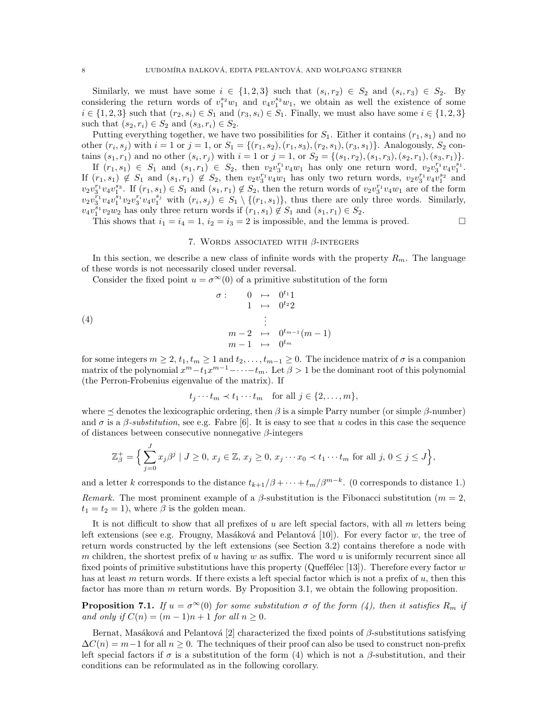Similarly, we must have some  $i \in \{1,2,3\}$  such that  $(s_i,r_2) \in S_2$  and  $(s_i,r_3) \in S_2$ . By considering the return words of  $v_1^{s_2}w_1$  and  $v_4v_1^{s_2}w_1$ , we obtain as well the existence of some  $i \in \{1, 2, 3\}$  such that  $(r_2, s_i) \in S_1$  and  $(r_3, s_i) \in S_1$ . Finally, we must also have some  $i \in \{1, 2, 3\}$ such that  $(s_2, r_i) \in S_2$  and  $(s_3, r_i) \in S_2$ .

Putting everything together, we have two possibilities for  $S_1$ . Either it contains  $(r_1, s_1)$  and no other  $(r_i, s_j)$  with  $i = 1$  or  $j = 1$ , or  $S_1 = \{(r_1, s_2), (r_1, s_3), (r_2, s_1), (r_3, s_1)\}\.$  Analogously,  $S_2$  contains  $(s_1, r_1)$  and no other  $(s_i, r_j)$  with  $i = 1$  or  $j = 1$ , or  $S_2 = \{(s_1, r_2), (s_1, r_3), (s_2, r_1), (s_3, r_1)\}.$ 

If  $(r_1,s_1) \in S_1$  and  $(s_1,r_1) \in S_2$ , then  $v_2v_3^{r_1}v_4w_1$  has only one return word,  $v_2v_3^{r_1}v_4v_1^{s_1}$ . If  $(r_1, s_1) \notin S_1$  and  $(s_1, r_1) \notin S_2$ , then  $v_2v_3^{r_1}v_4w_1$  has only two return words,  $v_2v_3^{r_1}v_4v_1^{s_2}$  and  $v_2v_3^{r_1}v_4v_1^{s_3}$ . If  $(r_1, s_1) \in S_1$  and  $(s_1, r_1) \notin S_2$ , then the return words of  $v_2v_3^{r_1}v_4w_1$  are of the form  $v_2v_3^{r_1}v_4v_1^{s_1}v_2v_3^{r_i}v_4v_1^{s_3}$  with  $(r_i, s_j) \in S_1 \setminus \{(r_1, s_1)\}\$ , thus there are only three words. Similarly,  $v_4v_1^{s_1}v_2w_2$  has only three return words if  $(r_1, s_1) \notin S_1$  and  $(s_1, r_1) \in S_2$ .

This shows that  $i_1 = i_4 = 1$ ,  $i_2 = i_3 = 2$  is impossible, and the lemma is proved.

## 7. WORDS ASSOCIATED WITH  $\beta$ -INTEGERS

In this section, we describe a new class of infinite words with the property  $R_m$ . The language of these words is not necessarily closed under reversal.

Consider the fixed point  $u = \sigma^{\infty}(0)$  of a primitive substitution of the form

$$
\begin{array}{rcl}\n\sigma: & 0 & \mapsto & 0^{t_1}1 \\
1 & \mapsto & 0^{t_2}2 \\
\vdots \\
m-2 & \mapsto & 0^{t_{m-1}}(m-1) \\
m-1 & \mapsto & 0^{t_m}\n\end{array}
$$

for some integers  $m \geq 2$ ,  $t_1, t_m \geq 1$  and  $t_2, \ldots, t_{m-1} \geq 0$ . The incidence matrix of  $\sigma$  is a companion matrix of the polynomial  $x^m - t_1x^{m-1} - \cdots - t_m$ . Let  $\beta > 1$  be the dominant root of this polynomial (the Perron-Frobenius eigenvalue of the matrix). If

$$
t_j \cdots t_m \prec t_1 \cdots t_m \quad \text{for all } j \in \{2, \ldots, m\},
$$

where  $\preceq$  denotes the lexicographic ordering, then  $\beta$  is a simple Parry number (or simple  $\beta$ -number) and  $\sigma$  is a  $\beta$ -substitution, see e.g. Fabre [6]. It is easy to see that u codes in this case the sequence of distances between consecutive nonnegative β-integers

$$
\mathbb{Z}_{\beta}^{+} = \Big\{ \sum_{j=0}^{J} x_j \beta^j \mid J \ge 0, x_j \in \mathbb{Z}, x_j \ge 0, x_j \cdots x_0 \prec t_1 \cdots t_m \text{ for all } j, 0 \le j \le J \Big\},\
$$

and a letter k corresponds to the distance  $t_{k+1}/\beta + \cdots + t_m/\beta^{m-k}$ . (0 corresponds to distance 1.) Remark. The most prominent example of a  $\beta$ -substitution is the Fibonacci substitution (m = 2,  $t_1 = t_2 = 1$ , where  $\beta$  is the golden mean.

It is not difficult to show that all prefixes of  $u$  are left special factors, with all  $m$  letters being left extensions (see e.g. Frougny, Masáková and Pelantová [10]). For every factor w, the tree of return words constructed by the left extensions (see Section 3.2) contains therefore a node with m children, the shortest prefix of u having w as suffix. The word u is uniformly recurrent since all fixed points of primitive substitutions have this property (Queffélec [13]). Therefore every factor w has at least m return words. If there exists a left special factor which is not a prefix of  $u$ , then this factor has more than m return words. By Proposition 3.1, we obtain the following proposition.

**Proposition 7.1.** If  $u = \sigma^{\infty}(0)$  for some substitution  $\sigma$  of the form (4), then it satisfies  $R_m$  if and only if  $C(n) = (m-1)n + 1$  for all  $n \ge 0$ .

Bernat, Masáková and Pelantová [2] characterized the fixed points of  $\beta$ -substitutions satisfying  $\Delta C(n) = m-1$  for all  $n \geq 0$ . The techniques of their proof can also be used to construct non-prefix left special factors if  $\sigma$  is a substitution of the form (4) which is not a  $\beta$ -substitution, and their conditions can be reformulated as in the following corollary.